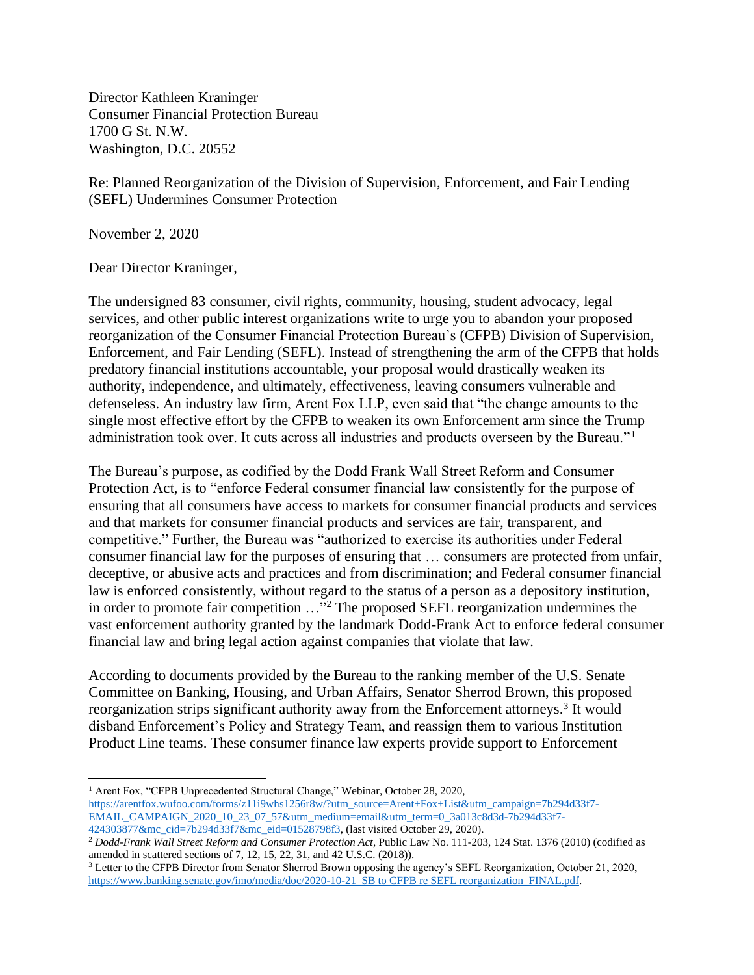Director Kathleen Kraninger Consumer Financial Protection Bureau 1700 G St. N.W. Washington, D.C. 20552

Re: Planned Reorganization of the Division of Supervision, Enforcement, and Fair Lending (SEFL) Undermines Consumer Protection

November 2, 2020

Dear Director Kraninger,

The undersigned 83 consumer, civil rights, community, housing, student advocacy, legal services, and other public interest organizations write to urge you to abandon your proposed reorganization of the Consumer Financial Protection Bureau's (CFPB) Division of Supervision, Enforcement, and Fair Lending (SEFL). Instead of strengthening the arm of the CFPB that holds predatory financial institutions accountable, your proposal would drastically weaken its authority, independence, and ultimately, effectiveness, leaving consumers vulnerable and defenseless. An industry law firm, Arent Fox LLP, even said that "the change amounts to the single most effective effort by the CFPB to weaken its own Enforcement arm since the Trump administration took over. It cuts across all industries and products overseen by the Bureau."<sup>1</sup>

The Bureau's purpose, as codified by the Dodd Frank Wall Street Reform and Consumer Protection Act, is to "enforce Federal consumer financial law consistently for the purpose of ensuring that all consumers have access to markets for consumer financial products and services and that markets for consumer financial products and services are fair, transparent, and competitive." Further, the Bureau was "authorized to exercise its authorities under Federal consumer financial law for the purposes of ensuring that … consumers are protected from unfair, deceptive, or abusive acts and practices and from discrimination; and Federal consumer financial law is enforced consistently, without regard to the status of a person as a depository institution, in order to promote fair competition …"<sup>2</sup> The proposed SEFL reorganization undermines the vast enforcement authority granted by the landmark Dodd-Frank Act to enforce federal consumer financial law and bring legal action against companies that violate that law.

According to documents provided by the Bureau to the ranking member of the U.S. Senate Committee on Banking, Housing, and Urban Affairs, Senator Sherrod Brown, this proposed reorganization strips significant authority away from the Enforcement attorneys.<sup>3</sup> It would disband Enforcement's Policy and Strategy Team, and reassign them to various Institution Product Line teams. These consumer finance law experts provide support to Enforcement

<sup>&</sup>lt;sup>1</sup> Arent Fox, "CFPB Unprecedented Structural Change," Webinar, October 28, 2020, [https://arentfox.wufoo.com/forms/z11i9whs1256r8w/?utm\\_source=Arent+Fox+List&utm\\_campaign=7b294d33f7-](https://arentfox.wufoo.com/forms/z11i9whs1256r8w/?utm_source=Arent+Fox+List&utm_campaign=7b294d33f7-EMAIL_CAMPAIGN_2020_10_23_07_57&utm_medium=email&utm_term=0_3a013c8d3d-7b294d33f7-424303877&mc_cid=7b294d33f7&mc_eid=01528798f3) [EMAIL\\_CAMPAIGN\\_2020\\_10\\_23\\_07\\_57&utm\\_medium=email&utm\\_term=0\\_3a013c8d3d-7b294d33f7-](https://arentfox.wufoo.com/forms/z11i9whs1256r8w/?utm_source=Arent+Fox+List&utm_campaign=7b294d33f7-EMAIL_CAMPAIGN_2020_10_23_07_57&utm_medium=email&utm_term=0_3a013c8d3d-7b294d33f7-424303877&mc_cid=7b294d33f7&mc_eid=01528798f3) [424303877&mc\\_cid=7b294d33f7&mc\\_eid=01528798f3,](https://arentfox.wufoo.com/forms/z11i9whs1256r8w/?utm_source=Arent+Fox+List&utm_campaign=7b294d33f7-EMAIL_CAMPAIGN_2020_10_23_07_57&utm_medium=email&utm_term=0_3a013c8d3d-7b294d33f7-424303877&mc_cid=7b294d33f7&mc_eid=01528798f3) (last visited October 29, 2020).

<sup>2</sup> *Dodd-Frank Wall Street Reform and Consumer Protection Act*, Public Law No. 111-203, 124 Stat. 1376 (2010) (codified as amended in scattered sections of 7, 12, 15, 22, 31, and 42 U.S.C. (2018)).

<sup>3</sup> Letter to the CFPB Director from Senator Sherrod Brown opposing the agency's SEFL Reorganization, October 21, 2020, [https://www.banking.senate.gov/imo/media/doc/2020-10-21\\_SB to CFPB re SEFL reorganization\\_FINAL.pdf.](https://www.banking.senate.gov/imo/media/doc/2020-10-21_SB%20to%20CFPB%20re%20SEFL%20reorganization_FINAL.pdf)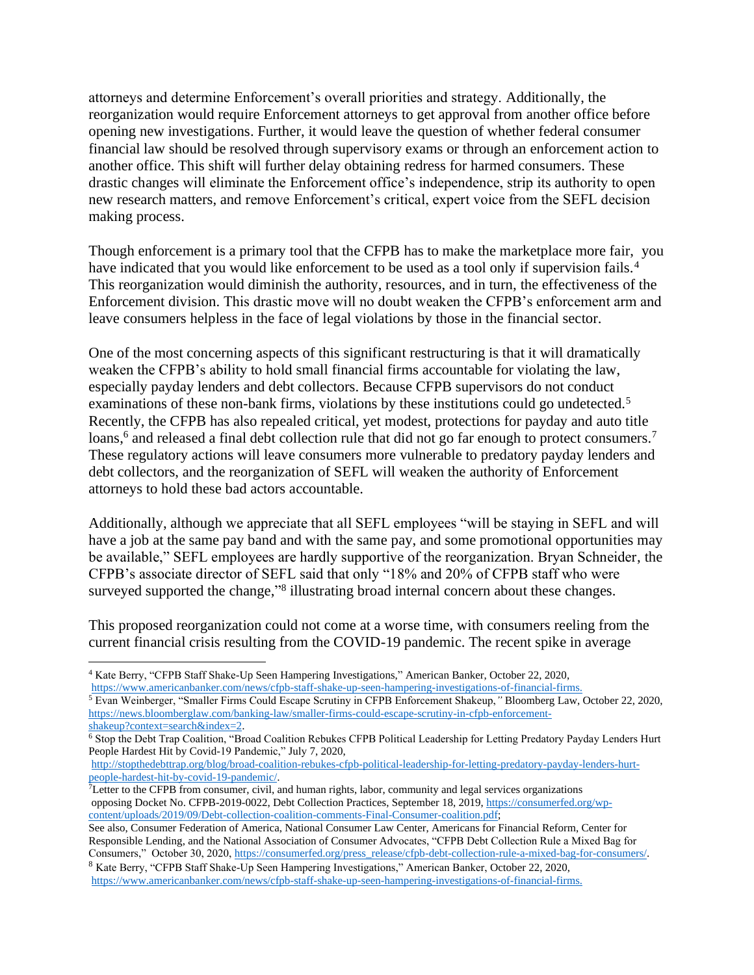attorneys and determine Enforcement's overall priorities and strategy. Additionally, the reorganization would require Enforcement attorneys to get approval from another office before opening new investigations. Further, it would leave the question of whether federal consumer financial law should be resolved through supervisory exams or through an enforcement action to another office. This shift will further delay obtaining redress for harmed consumers. These drastic changes will eliminate the Enforcement office's independence, strip its authority to open new research matters, and remove Enforcement's critical, expert voice from the SEFL decision making process.

Though enforcement is a primary tool that the CFPB has to make the marketplace more fair, you have indicated that you would like enforcement to be used as a tool only if supervision fails.<sup>4</sup> This reorganization would diminish the authority, resources, and in turn, the effectiveness of the Enforcement division. This drastic move will no doubt weaken the CFPB's enforcement arm and leave consumers helpless in the face of legal violations by those in the financial sector.

One of the most concerning aspects of this significant restructuring is that it will dramatically weaken the CFPB's ability to hold small financial firms accountable for violating the law, especially payday lenders and debt collectors. Because CFPB supervisors do not conduct examinations of these non-bank firms, violations by these institutions could go undetected.<sup>5</sup> Recently, the CFPB has also repealed critical, yet modest, protections for payday and auto title loans,<sup>6</sup> and released a final debt collection rule that did not go far enough to protect consumers.<sup>7</sup> These regulatory actions will leave consumers more vulnerable to predatory payday lenders and debt collectors, and the reorganization of SEFL will weaken the authority of Enforcement attorneys to hold these bad actors accountable.

Additionally, although we appreciate that all SEFL employees "will be staying in SEFL and will have a job at the same pay band and with the same pay, and some promotional opportunities may be available," SEFL employees are hardly supportive of the reorganization. Bryan Schneider, the CFPB's associate director of SEFL said that only "18% and 20% of CFPB staff who were surveyed supported the change,"<sup>8</sup> illustrating broad internal concern about these changes.

This proposed reorganization could not come at a worse time, with consumers reeling from the current financial crisis resulting from the COVID-19 pandemic. The recent spike in average

<sup>7</sup>Letter to the CFPB from consumer, civil, and human rights, labor, community and legal services organizations opposing Docket No. CFPB-2019-0022, Debt Collection Practices, September 18, 2019, [https://consumerfed.org/wp](https://consumerfed.org/wp-content/uploads/2019/09/Debt-collection-coalition-comments-Final-Consumer-coalition.pdf)[content/uploads/2019/09/Debt-collection-coalition-comments-Final-Consumer-coalition.pdf;](https://consumerfed.org/wp-content/uploads/2019/09/Debt-collection-coalition-comments-Final-Consumer-coalition.pdf)

<sup>4</sup> Kate Berry, "CFPB Staff Shake-Up Seen Hampering Investigations," American Banker, October 22, 2020, [https://www.americanbanker.com/news/cfpb-staff-shake-up-seen-hampering-investigations-of-financial-firms.](https://www.americanbanker.com/news/cfpb-staff-shake-up-seen-hampering-investigations-of-financial-firms)

<sup>5</sup> Evan Weinberger, "Smaller Firms Could Escape Scrutiny in CFPB Enforcement Shakeup,*"* Bloomberg Law, October 22, 2020, [https://news.bloomberglaw.com/banking-law/smaller-firms-could-escape-scrutiny-in-cfpb-enforcement](https://news.bloomberglaw.com/banking-law/smaller-firms-could-escape-scrutiny-in-cfpb-enforcement-shakeup?context=search&index=2)[shakeup?context=search&index=2.](https://news.bloomberglaw.com/banking-law/smaller-firms-could-escape-scrutiny-in-cfpb-enforcement-shakeup?context=search&index=2) 

<sup>6</sup> Stop the Debt Trap Coalition, "Broad Coalition Rebukes CFPB Political Leadership for Letting Predatory Payday Lenders Hurt People Hardest Hit by Covid-19 Pandemic," July 7, 2020,

[http://stopthedebttrap.org/blog/broad-coalition-rebukes-cfpb-political-leadership-for-letting-predatory-payday-lenders-hurt](http://stopthedebttrap.org/blog/broad-coalition-rebukes-cfpb-political-leadership-for-letting-predatory-payday-lenders-hurt-people-hardest-hit-by-covid-19-pandemic/)[people-hardest-hit-by-covid-19-pandemic/.](http://stopthedebttrap.org/blog/broad-coalition-rebukes-cfpb-political-leadership-for-letting-predatory-payday-lenders-hurt-people-hardest-hit-by-covid-19-pandemic/)

See also, Consumer Federation of America, National Consumer Law Center, Americans for Financial Reform, Center for Responsible Lending, and the National Association of Consumer Advocates, "CFPB Debt Collection Rule a Mixed Bag for Consumers," October 30, 2020[, https://consumerfed.org/press\\_release/cfpb-debt-collection-rule-a-mixed-bag-for-consumers/.](https://consumerfed.org/press_release/cfpb-debt-collection-rule-a-mixed-bag-for-consumers/)

<sup>8</sup> Kate Berry, "CFPB Staff Shake-Up Seen Hampering Investigations," American Banker, October 22, 2020, [https://www.americanbanker.com/news/cfpb-staff-shake-up-seen-hampering-investigations-of-financial-firms.](https://www.americanbanker.com/news/cfpb-staff-shake-up-seen-hampering-investigations-of-financial-firms)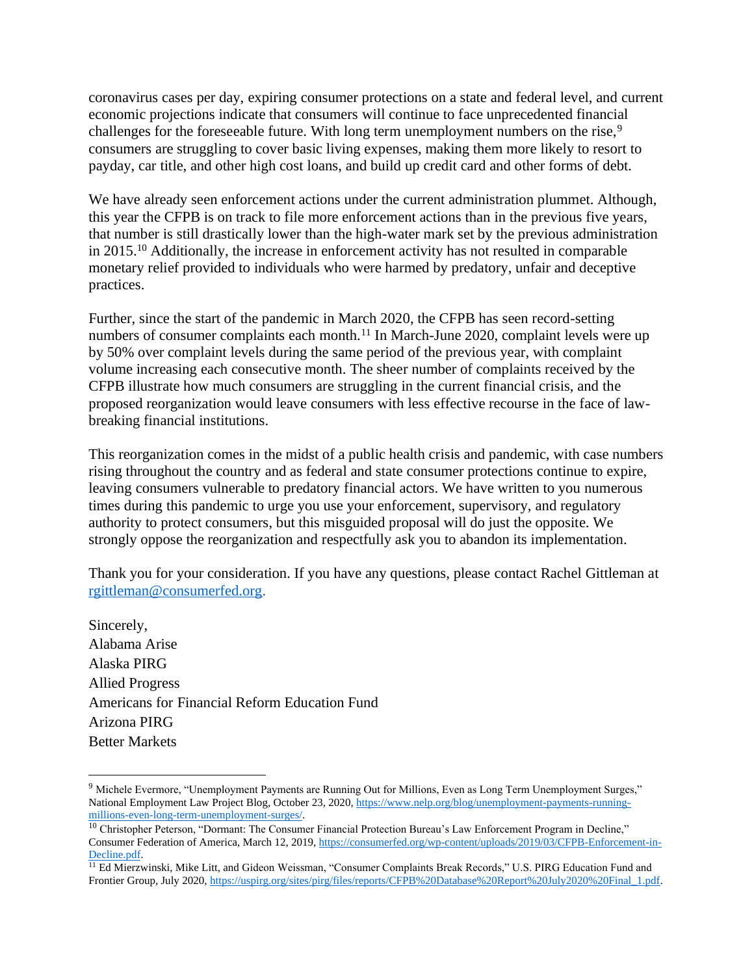coronavirus cases per day, expiring consumer protections on a state and federal level, and current economic projections indicate that consumers will continue to face unprecedented financial challenges for the foreseeable future. With long term unemployment numbers on the rise,<sup>9</sup> consumers are struggling to cover basic living expenses, making them more likely to resort to payday, car title, and other high cost loans, and build up credit card and other forms of debt.

We have already seen enforcement actions under the current administration plummet. Although, this year the CFPB is on track to file more enforcement actions than in the previous five years, that number is still drastically lower than the high-water mark set by the previous administration in 2015.<sup>10</sup> Additionally, the increase in enforcement activity has not resulted in comparable monetary relief provided to individuals who were harmed by predatory, unfair and deceptive practices.

Further, since the start of the pandemic in March 2020, the CFPB has seen record-setting numbers of consumer complaints each month.<sup>11</sup> In March-June 2020, complaint levels were up by 50% over complaint levels during the same period of the previous year, with complaint volume increasing each consecutive month. The sheer number of complaints received by the CFPB illustrate how much consumers are struggling in the current financial crisis, and the proposed reorganization would leave consumers with less effective recourse in the face of lawbreaking financial institutions.

This reorganization comes in the midst of a public health crisis and pandemic, with case numbers rising throughout the country and as federal and state consumer protections continue to expire, leaving consumers vulnerable to predatory financial actors. We have written to you numerous times during this pandemic to urge you use your enforcement, supervisory, and regulatory authority to protect consumers, but this misguided proposal will do just the opposite. We strongly oppose the reorganization and respectfully ask you to abandon its implementation.

Thank you for your consideration. If you have any questions, please contact Rachel Gittleman at [rgittleman@consumerfed.org.](mailto:rgittleman@consumerfed.org)

Sincerely, Alabama Arise Alaska PIRG Allied Progress Americans for Financial Reform Education Fund Arizona PIRG Better Markets

<sup>9</sup> Michele Evermore, "Unemployment Payments are Running Out for Millions, Even as Long Term Unemployment Surges," National Employment Law Project Blog, October 23, 2020[, https://www.nelp.org/blog/unemployment-payments-running](https://www.nelp.org/blog/unemployment-payments-running-millions-even-long-term-unemployment-surges/)[millions-even-long-term-unemployment-surges/.](https://www.nelp.org/blog/unemployment-payments-running-millions-even-long-term-unemployment-surges/) 

<sup>&</sup>lt;sup>10</sup> Christopher Peterson, "Dormant: The Consumer Financial Protection Bureau's Law Enforcement Program in Decline," Consumer Federation of America, March 12, 2019, [https://consumerfed.org/wp-content/uploads/2019/03/CFPB-Enforcement-in-](https://consumerfed.org/wp-content/uploads/2019/03/CFPB-Enforcement-in-Decline.pdf)[Decline.pdf.](https://consumerfed.org/wp-content/uploads/2019/03/CFPB-Enforcement-in-Decline.pdf)

<sup>&</sup>lt;sup>11</sup> Ed Mierzwinski, Mike Litt, and Gideon Weissman, "Consumer Complaints Break Records," U.S. PIRG Education Fund and Frontier Group, July 2020[, https://uspirg.org/sites/pirg/files/reports/CFPB%20Database%20Report%20July2020%20Final\\_1.pdf.](https://uspirg.org/sites/pirg/files/reports/CFPB%20Database%20Report%20July2020%20Final_1.pdf)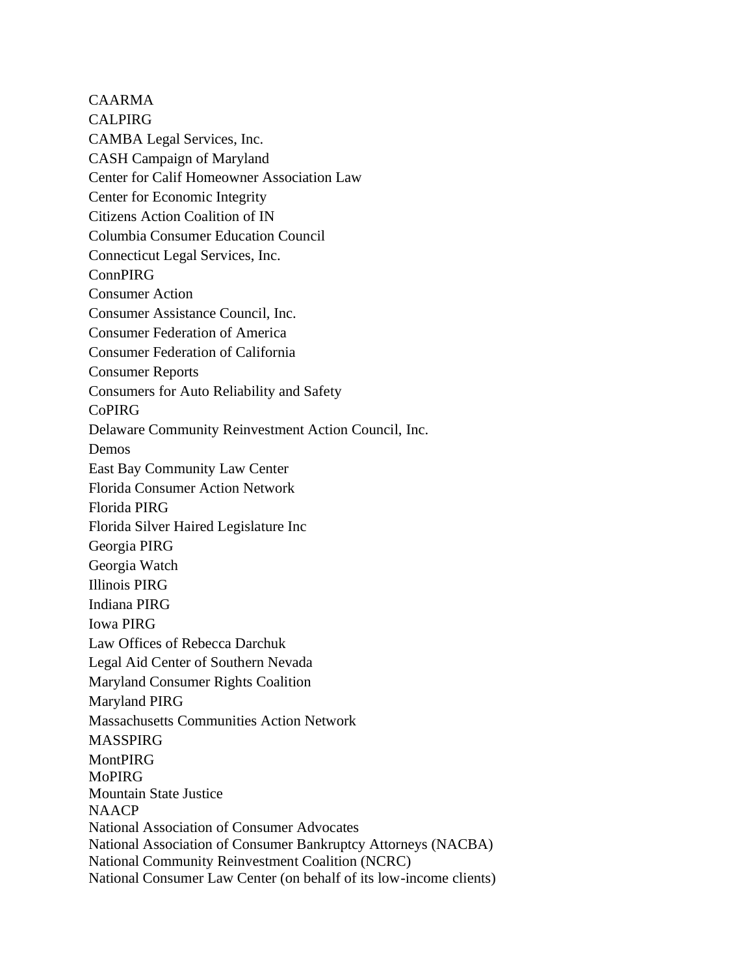CAARMA CALPIRG CAMBA Legal Services, Inc. CASH Campaign of Maryland Center for Calif Homeowner Association Law Center for Economic Integrity Citizens Action Coalition of IN Columbia Consumer Education Council Connecticut Legal Services, Inc. ConnPIRG Consumer Action Consumer Assistance Council, Inc. Consumer Federation of America Consumer Federation of California Consumer Reports Consumers for Auto Reliability and Safety CoPIRG Delaware Community Reinvestment Action Council, Inc. Demos East Bay Community Law Center Florida Consumer Action Network Florida PIRG Florida Silver Haired Legislature Inc Georgia PIRG Georgia Watch Illinois PIRG Indiana PIRG Iowa PIRG Law Offices of Rebecca Darchuk Legal Aid Center of Southern Nevada Maryland Consumer Rights Coalition Maryland PIRG Massachusetts Communities Action Network **MASSPIRG MontPIRG** MoPIRG Mountain State Justice NAACP National Association of Consumer Advocates National Association of Consumer Bankruptcy Attorneys (NACBA) National Community Reinvestment Coalition (NCRC) National Consumer Law Center (on behalf of its low-income clients)